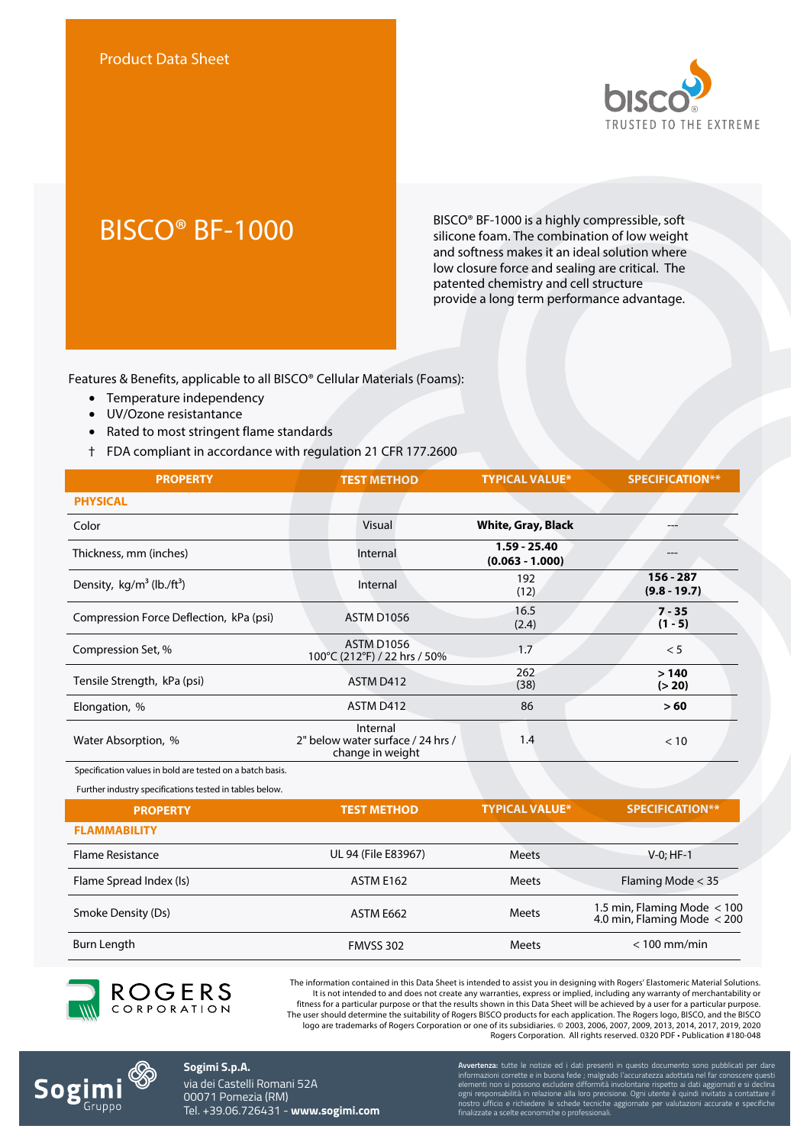

BISCO<sup>®</sup> BF-1000 BISCO® BF-1000 is a highly compressible, soft<br>silicone foam. The combination of low weight silicone foam. The combination of low weight and softness makes it an ideal solution where low closure force and sealing are critical. The patented chemistry and cell structure provide a long term performance advantage.

Features & Benefits, applicable to all BISCO® Cellular Materials (Foams):

- Temperature independency
- UV/Ozone resistantance
- Rated to most stringent flame standards
- † FDA compliant in accordance with regulation 21 CFR 177.2600

| <b>PROPERTY</b>                                           | <b>TEST METHOD</b>                                                | <b>TYPICAL VALUE*</b>               | <b>SPECIFICATION**</b>                                       |
|-----------------------------------------------------------|-------------------------------------------------------------------|-------------------------------------|--------------------------------------------------------------|
| <b>PHYSICAL</b>                                           |                                                                   |                                     |                                                              |
| Color                                                     | Visual                                                            | <b>White, Gray, Black</b>           |                                                              |
| Thickness, mm (inches)                                    | Internal                                                          | $1.59 - 25.40$<br>$(0.063 - 1.000)$ |                                                              |
| Density, kg/m <sup>3</sup> (lb./ft <sup>3</sup> )         | Internal                                                          | 192<br>(12)                         | $156 - 287$<br>$(9.8 - 19.7)$                                |
| Compression Force Deflection, kPa (psi)                   | <b>ASTM D1056</b>                                                 | 16.5<br>(2.4)                       | $7 - 35$<br>$(1 - 5)$                                        |
| Compression Set, %                                        | <b>ASTM D1056</b><br>100°C (212°F) / 22 hrs / 50%                 | 1.7                                 | < 5                                                          |
| Tensile Strength, kPa (psi)                               | ASTM D412                                                         | 262<br>(38)                         | >140<br>(> 20)                                               |
| Elongation, %                                             | ASTM D412                                                         | 86                                  | >60                                                          |
| Water Absorption, %                                       | Internal<br>2" below water surface / 24 hrs /<br>change in weight | 1.4                                 | < 10                                                         |
| Specification values in bold are tested on a batch basis. |                                                                   |                                     |                                                              |
| Further industry specifications tested in tables below.   |                                                                   |                                     |                                                              |
| <b>PROPERTY</b>                                           | <b>TEST METHOD</b>                                                | <b>TYPICAL VALUE*</b>               | <b>SPECIFICATION**</b>                                       |
| <b>FLAMMABILITY</b>                                       |                                                                   |                                     |                                                              |
| <b>Flame Resistance</b>                                   | UL 94 (File E83967)                                               | <b>Meets</b>                        | $V-0$ ; HF-1                                                 |
| Flame Spread Index (Is)                                   | ASTM E162                                                         | <b>Meets</b>                        | Flaming Mode < 35                                            |
| Smoke Density (Ds)                                        | ASTM E662                                                         | <b>Meets</b>                        | 1.5 min, Flaming Mode $<$ 100<br>4.0 min, Flaming Mode < 200 |
| Burn Length                                               | <b>FMVSS 302</b>                                                  | <b>Meets</b>                        | $< 100$ mm/min                                               |



The information contained in this Data Sheet is intended to assist you in designing with Rogers' Elastomeric Material Solutions. It is not intended to and does not create any warranties, express or implied, including any warranty of merchantability or fitness for a particular purpose or that the results shown in this Data Sheet will be achieved by a user for a particular purpose. The user should determine the suitability of Rogers BISCO products for each application. The Rogers logo, BISCO, and the BISCO logo are trademarks of Rogers Corporation or one of its subsidiaries. © 2003, 2006, 2007, 2009, 2013, 2014, 2017, 2019, 2020 Rogers Corporation. All rights reserved. 0320 PDF • Publication #180-048



**Sogimi S.p.A.** via dei Castelli Romani 52A 00071 Pomezia (RM) Tel. +39.06.726431 - **www.sogimi.com**

**vertenza:** tutte le notizie ed i dati c informazioni corrette e in buona fede ; malgrado l'accuratezza adottata nel far conoscere questi elementi non si possono escludere difformità involontarie rispetto ai dati aggiornati e si declina ogni responsabilità in relazione alla loro precisione. Ogni utente è quindi invitato a contattare il nostro ufficio e richiedere le schede tecniche aggiornate per valutazioni accurate e specifiche finalizzate a scelte economiche o professionali.